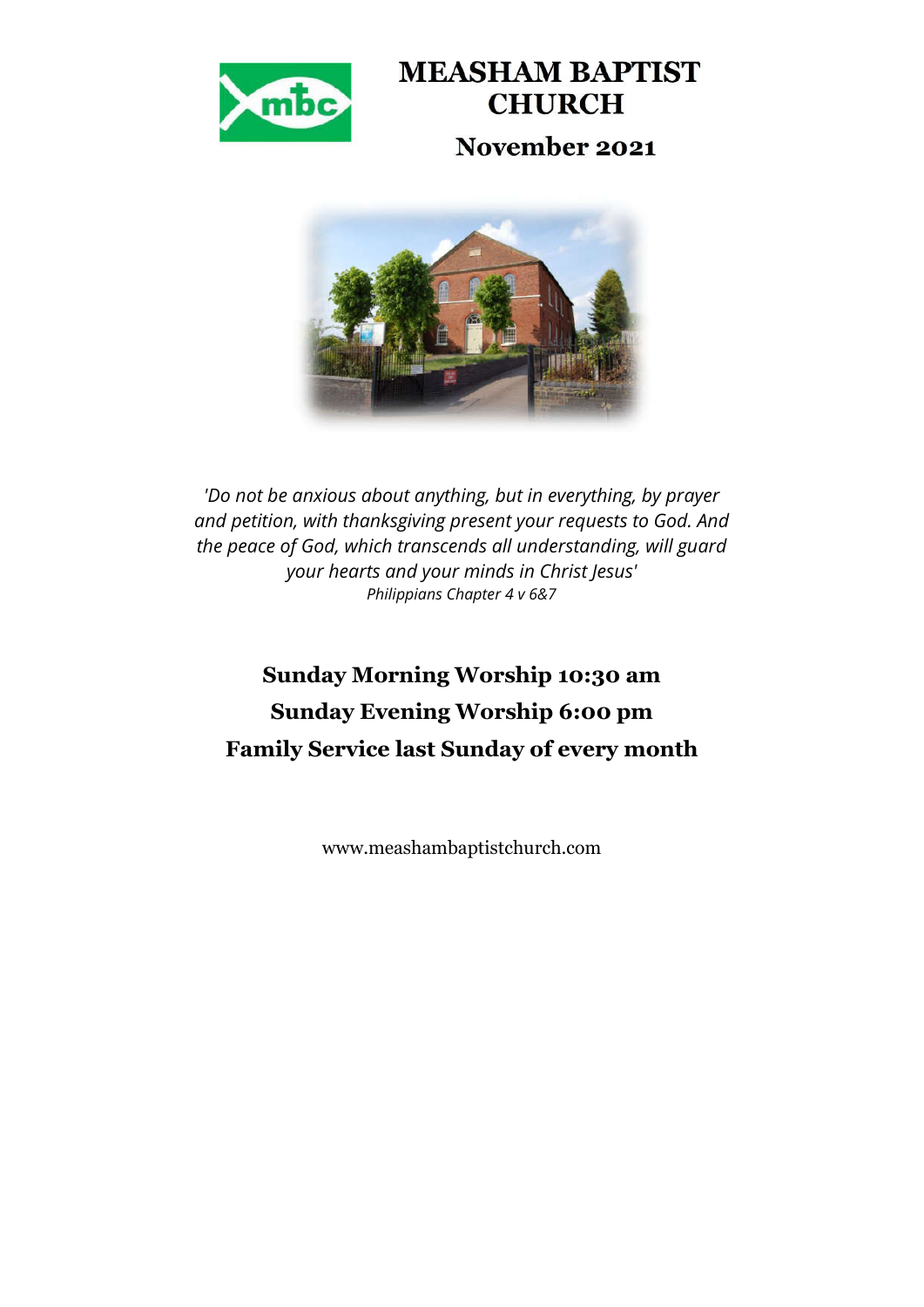

# **MEASHAM BAPTIST CHURCH November 2021**



*'Do not be anxious about anything, but in everything, by prayer and petition, with thanksgiving present your requests to God. And the peace of God, which transcends all understanding, will guard your hearts and your minds in Christ Jesus' Philippians Chapter 4 v 6&7*

# **Sunday Morning Worship 10:30 am Sunday Evening Worship 6:00 pm Family Service last Sunday of every month**

www.meashambaptistchurch.com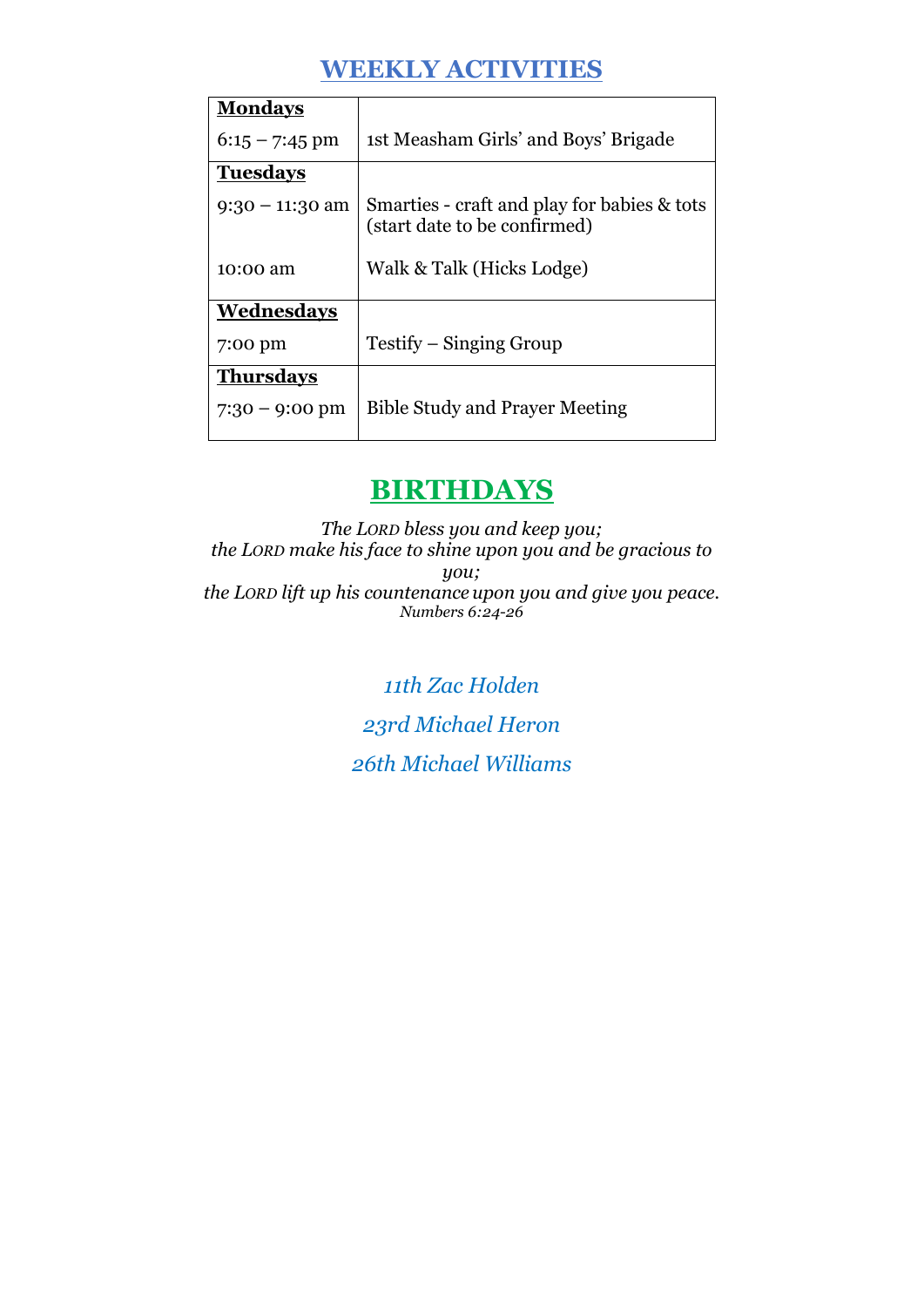## **WEEKLY ACTIVITIES**

| <b>Mondays</b>    |                                                                             |  |  |
|-------------------|-----------------------------------------------------------------------------|--|--|
| $6:15 - 7:45$ pm  | 1st Measham Girls' and Boys' Brigade                                        |  |  |
| <b>Tuesdays</b>   |                                                                             |  |  |
| $9:30 - 11:30$ am | Smarties - craft and play for babies & tots<br>(start date to be confirmed) |  |  |
| 10:00 am          | Walk & Talk (Hicks Lodge)                                                   |  |  |
| Wednesdays        |                                                                             |  |  |
| 7:00 pm           | Testify – Singing Group                                                     |  |  |
| <b>Thursdays</b>  |                                                                             |  |  |
| $7:30 - 9:00$ pm  | <b>Bible Study and Prayer Meeting</b>                                       |  |  |

## **BIRTHDAYS**

*The LORD bless you and keep you; the LORD make his face to shine upon you and be gracious to you; the LORD lift up his countenance upon you and give you peace. Numbers 6:24-26*

> *11th Zac Holden 23rd Michael Heron 26th Michael Williams*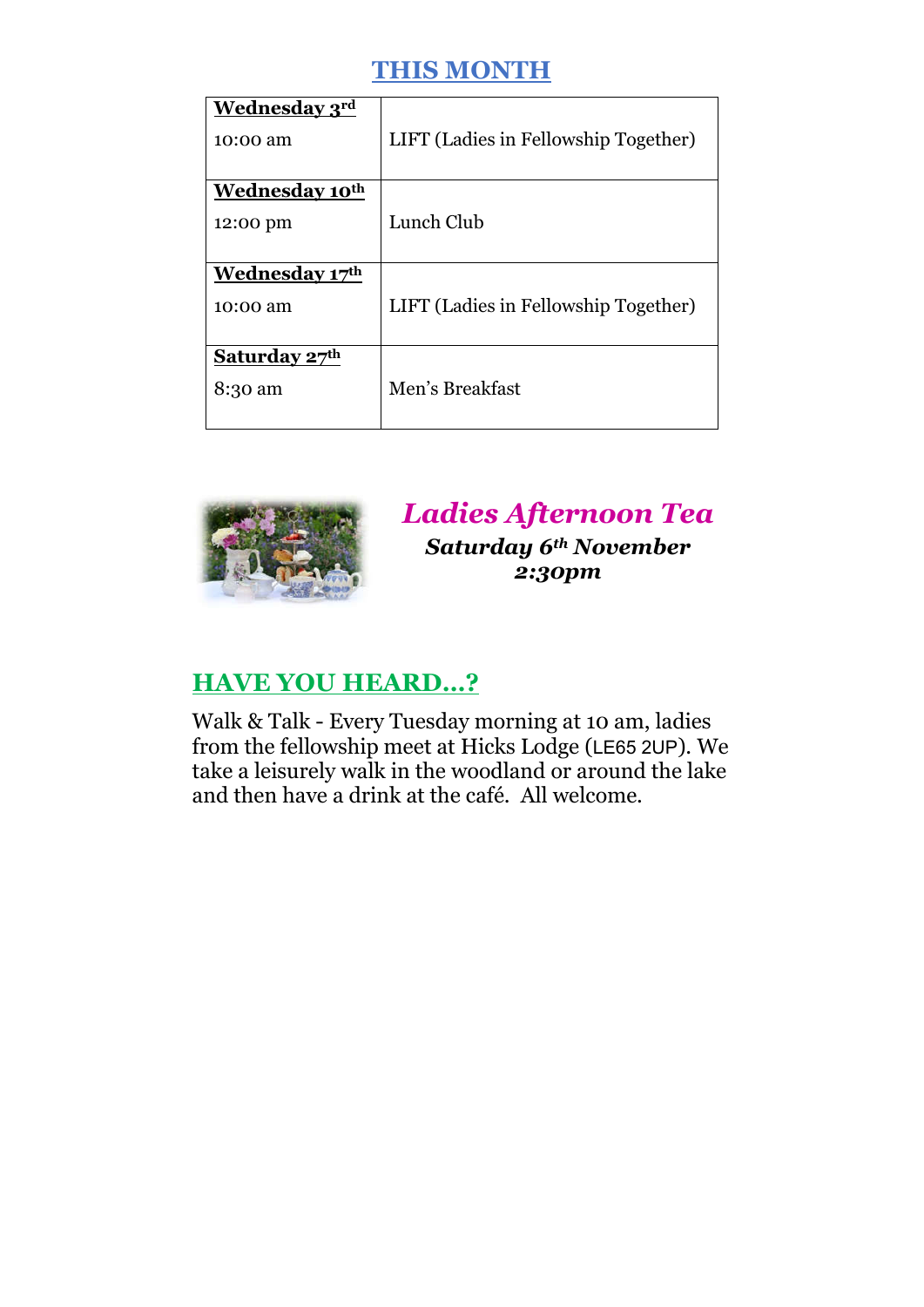## **THIS MONTH**

| <b>Wednesday 3rd</b><br>10:00 am       | LIFT (Ladies in Fellowship Together) |
|----------------------------------------|--------------------------------------|
| Wednesday 10 <sup>th</sup><br>12:00 pm | Lunch Club                           |
| <b>Wednesday 17th</b><br>10:00 am      | LIFT (Ladies in Fellowship Together) |
| Saturday 27th<br>8:30 am               | Men's Breakfast                      |



*Ladies Afternoon Tea Saturday 6th November 2:30pm*

#### **HAVE YOU HEARD…?**

Walk & Talk - Every Tuesday morning at 10 am, ladies from the fellowship meet at Hicks Lodge (LE65 2UP). We take a leisurely walk in the woodland or around the lake and then have a drink at the café. All welcome.